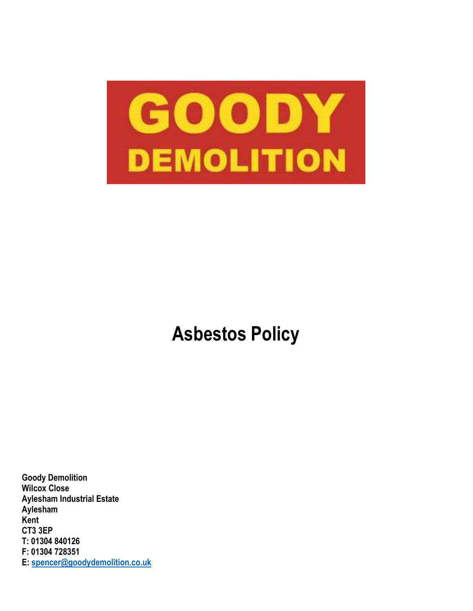

# **Asbestos Policy**

**Goody Demolition Wilcox Close Aylesham Industrial Estate Aylesham Kent CT3 3EP T: 01304 840126 F: 01304 728351 E: spencer@goodydemolition.co.uk**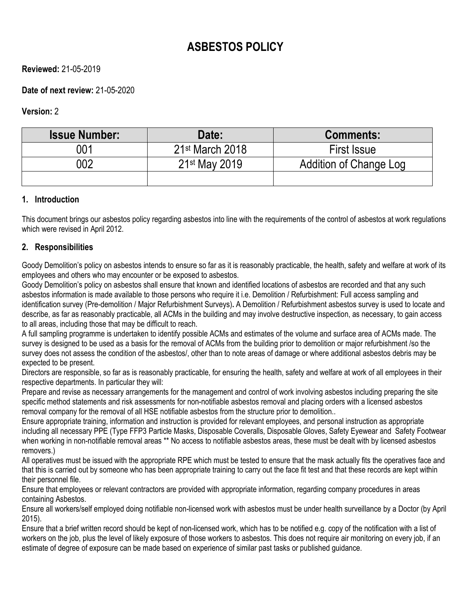# **ASBESTOS POLICY**

# **Reviewed:** 21-05-2019

# **Date of next review:** 21-05-2020

# **Version:** 2

| <b>Issue Number:</b> | Date:                       | <b>Comments:</b>       |
|----------------------|-----------------------------|------------------------|
| 001                  | 21 <sup>st</sup> March 2018 | <b>First Issue</b>     |
| 002                  | 21 <sup>st</sup> May 2019   | Addition of Change Log |
|                      |                             |                        |

#### **1. Introduction**

This document brings our asbestos policy regarding asbestos into line with the requirements of the control of asbestos at work regulations which were revised in April 2012.

#### **2. Responsibilities**

Goody Demolition's policy on asbestos intends to ensure so far as it is reasonably practicable, the health, safety and welfare at work of its employees and others who may encounter or be exposed to asbestos.

Goody Demolition's policy on asbestos shall ensure that known and identified locations of asbestos are recorded and that any such asbestos information is made available to those persons who require it i.e. Demolition / Refurbishment: Full access sampling and identification survey (Pre-demolition / Major Refurbishment Surveys)**.** A Demolition / Refurbishment asbestos survey is used to locate and describe, as far as reasonably practicable, all ACMs in the building and may involve destructive inspection, as necessary, to gain access to all areas, including those that may be difficult to reach.

A full sampling programme is undertaken to identify possible ACMs and estimates of the volume and surface area of ACMs made. The survey is designed to be used as a basis for the removal of ACMs from the building prior to demolition or major refurbishment /so the survey does not assess the condition of the asbestos/, other than to note areas of damage or where additional asbestos debris may be expected to be present.

Directors are responsible, so far as is reasonably practicable, for ensuring the health, safety and welfare at work of all employees in their respective departments. In particular they will:

Prepare and revise as necessary arrangements for the management and control of work involving asbestos including preparing the site specific method statements and risk assessments for non-notifiable asbestos removal and placing orders with a licensed asbestos removal company for the removal of all HSE notifiable asbestos from the structure prior to demolition..

Ensure appropriate training, information and instruction is provided for relevant employees, and personal instruction as appropriate including all necessary PPE (Type FFP3 Particle Masks, Disposable Coveralls, Disposable Gloves, Safety Eyewear and Safety Footwear when working in non-notifiable removal areas \*\* No access to notifiable asbestos areas, these must be dealt with by licensed asbestos removers.)

All operatives must be issued with the appropriate RPE which must be tested to ensure that the mask actually fits the operatives face and that this is carried out by someone who has been appropriate training to carry out the face fit test and that these records are kept within their personnel file.

Ensure that employees or relevant contractors are provided with appropriate information, regarding company procedures in areas containing Asbestos.

Ensure all workers/self employed doing notifiable non-licensed work with asbestos must be under health surveillance by a Doctor (by April 2015).

Ensure that a brief written record should be kept of non-licensed work, which has to be notified e.g. copy of the notification with a list of workers on the job, plus the level of likely exposure of those workers to asbestos. This does not require air monitoring on every job, if an estimate of degree of exposure can be made based on experience of similar past tasks or published guidance.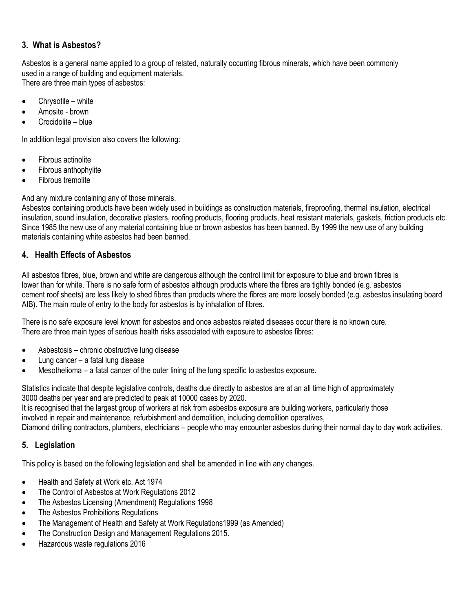# **3. What is Asbestos?**

Asbestos is a general name applied to a group of related, naturally occurring fibrous minerals, which have been commonly used in a range of building and equipment materials. There are three main types of asbestos:

- Chrysotile white
- Amosite brown
- Crocidolite blue

In addition legal provision also covers the following:

- Fibrous actinolite
- Fibrous anthophylite
- Fibrous tremolite

And any mixture containing any of those minerals.

Asbestos containing products have been widely used in buildings as construction materials, fireproofing, thermal insulation, electrical insulation, sound insulation, decorative plasters, roofing products, flooring products, heat resistant materials, gaskets, friction products etc. Since 1985 the new use of any material containing blue or brown asbestos has been banned. By 1999 the new use of any building materials containing white asbestos had been banned.

# **4. Health Effects of Asbestos**

All asbestos fibres, blue, brown and white are dangerous although the control limit for exposure to blue and brown fibres is lower than for white. There is no safe form of asbestos although products where the fibres are tightly bonded (e.g. asbestos cement roof sheets) are less likely to shed fibres than products where the fibres are more loosely bonded (e.g. asbestos insulating board AIB). The main route of entry to the body for asbestos is by inhalation of fibres.

There is no safe exposure level known for asbestos and once asbestos related diseases occur there is no known cure. There are three main types of serious health risks associated with exposure to asbestos fibres:

- Asbestosis chronic obstructive lung disease
- Lung cancer a fatal lung disease
- Mesothelioma a fatal cancer of the outer lining of the lung specific to asbestos exposure.

Statistics indicate that despite legislative controls, deaths due directly to asbestos are at an all time high of approximately 3000 deaths per year and are predicted to peak at 10000 cases by 2020.

It is recognised that the largest group of workers at risk from asbestos exposure are building workers, particularly those involved in repair and maintenance, refurbishment and demolition, including demolition operatives,

Diamond drilling contractors, plumbers, electricians – people who may encounter asbestos during their normal day to day work activities.

# **5. Legislation**

This policy is based on the following legislation and shall be amended in line with any changes.

- Health and Safety at Work etc. Act 1974
- The Control of Asbestos at Work Regulations 2012
- The Asbestos Licensing (Amendment) Regulations 1998
- The Asbestos Prohibitions Regulations
- The Management of Health and Safety at Work Regulations1999 (as Amended)
- The Construction Design and Management Regulations 2015.
- Hazardous waste regulations 2016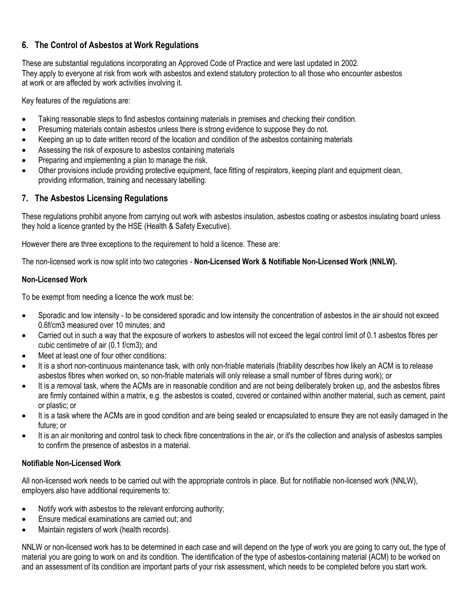# **6. The Control of Asbestos at Work Regulations**

These are substantial regulations incorporating an Approved Code of Practice and were last updated in 2002. They apply to everyone at risk from work with asbestos and extend statutory protection to all those who encounter asbestos at work or are affected by work activities involving it.

Key features of the regulations are:

- Taking reasonable steps to find asbestos containing materials in premises and checking their condition.
- Presuming materials contain asbestos unless there is strong evidence to suppose they do not.
- Keeping an up to date written record of the location and condition of the asbestos containing materials
- Assessing the risk of exposure to asbestos containing materials
- Preparing and implementing a plan to manage the risk.
- Other provisions include providing protective equipment, face fitting of respirators, keeping plant and equipment clean, providing information, training and necessary labelling.

# **7. The Asbestos Licensing Regulations**

These regulations prohibit anyone from carrying out work with asbestos insulation, asbestos coating or asbestos insulating board unless they hold a licence granted by the HSE (Health & Safety Executive).

However there are three exceptions to the requirement to hold a licence. These are:

The non-licensed work is now split into two categories - **Non-Licensed Work & Notifiable Non-Licensed Work (NNLW).**

#### **Non-Licensed Work**

To be exempt from needing a licence the work must be:

- Sporadic and low intensity to be considered sporadic and low intensity the concentration of asbestos in the air should not exceed 0.6f/cm3 measured over 10 minutes; and
- Carried out in such a way that the exposure of workers to asbestos will not exceed the legal control limit of 0.1 asbestos fibres per cubic centimetre of air (0.1 f/cm3); and
- Meet at least one of four other conditions:
- It is a short non-continuous maintenance task, with only non-friable materials (friability describes how likely an ACM is to release asbestos fibres when worked on, so non-friable materials will only release a small number of fibres during work); or
- It is a removal task, where the ACMs are in reasonable condition and are not being deliberately broken up, and the asbestos fibres are firmly contained within a matrix, e.g. the asbestos is coated, covered or contained within another material, such as cement, paint or plastic; or
- It is a task where the ACMs are in good condition and are being sealed or encapsulated to ensure they are not easily damaged in the future; or
- It is an air monitoring and control task to check fibre concentrations in the air, or it's the collection and analysis of asbestos samples to confirm the presence of asbestos in a material.

#### **Notifiable Non-Licensed Work**

All non-licensed work needs to be carried out with the appropriate controls in place. But for notifiable non-licensed work (NNLW), employers also have additional requirements to:

- Notify work with asbestos to the relevant enforcing authority;
- Ensure medical examinations are carried out; and
- Maintain registers of work (health records).

NNLW or non-licensed work has to be determined in each case and will depend on the type of work you are going to carry out, the type of material you are going to work on and its condition. The identification of the type of asbestos-containing material (ACM) to be worked on and an assessment of its condition are important parts of your risk assessment, which needs to be completed before you start work.